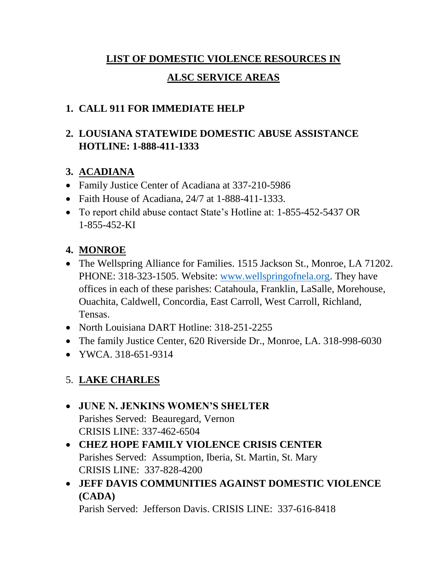# **LIST OF DOMESTIC VIOLENCE RESOURCES IN ALSC SERVICE AREAS**

## **1. CALL 911 FOR IMMEDIATE HELP**

## **2. LOUSIANA STATEWIDE DOMESTIC ABUSE ASSISTANCE HOTLINE: 1-888-411-1333**

## **3. ACADIANA**

- Family Justice Center of Acadiana at 337-210-5986
- Faith House of Acadiana, 24/7 at 1-888-411-1333.
- To report child abuse contact State's Hotline at: 1-855-452-5437 OR 1-855-452-KI

## **4. MONROE**

- The Wellspring Alliance for Families. 1515 Jackson St., Monroe, LA 71202. PHONE: 318-323-1505. Website: [www.wellspringofnela.org.](http://www.wellspringofnela.org/) They have offices in each of these parishes: Catahoula, Franklin, LaSalle, Morehouse, Ouachita, Caldwell, Concordia, East Carroll, West Carroll, Richland, Tensas.
- North Louisiana DART Hotline: 318-251-2255
- The family Justice Center, 620 Riverside Dr., Monroe, LA. 318-998-6030
- YWCA, 318-651-9314

# 5. **LAKE CHARLES**

#### • **JUNE N. JENKINS WOMEN'S SHELTER** Parishes Served: Beauregard, Vernon CRISIS LINE: 337-462-6504

- **CHEZ HOPE FAMILY VIOLENCE CRISIS CENTER** Parishes Served: Assumption, Iberia, St. Martin, St. Mary CRISIS LINE: 337-828-4200
- **JEFF DAVIS COMMUNITIES AGAINST DOMESTIC VIOLENCE (CADA)**

Parish Served: Jefferson Davis. CRISIS LINE: 337-616-8418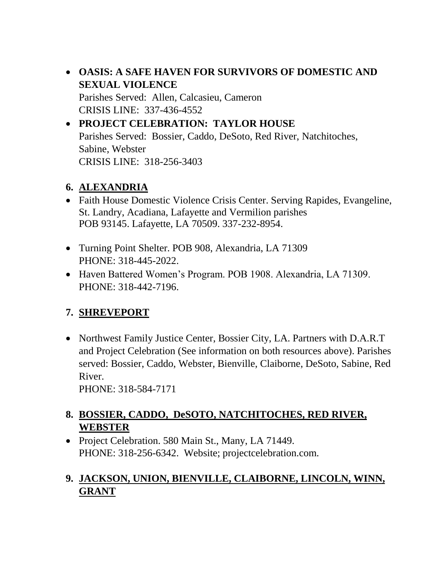• **OASIS: A SAFE HAVEN FOR SURVIVORS OF DOMESTIC AND SEXUAL VIOLENCE** Parishes Served: Allen, Calcasieu, Cameron

CRISIS LINE: 337-436-4552

#### • **PROJECT CELEBRATION: TAYLOR HOUSE** Parishes Served: Bossier, Caddo, DeSoto, Red River, Natchitoches, Sabine, Webster CRISIS LINE: 318-256-3403

#### **6. ALEXANDRIA**

- Faith House Domestic Violence Crisis Center. Serving Rapides, Evangeline, St. Landry, Acadiana, Lafayette and Vermilion parishes POB 93145. Lafayette, LA 70509. 337-232-8954.
- Turning Point Shelter. POB 908, Alexandria, LA 71309 PHONE: 318-445-2022.
- Haven Battered Women's Program. POB 1908. Alexandria, LA 71309. PHONE: 318-442-7196.

# **7. SHREVEPORT**

• Northwest Family Justice Center, Bossier City, LA. Partners with D.A.R.T and Project Celebration (See information on both resources above). Parishes served: Bossier, Caddo, Webster, Bienville, Claiborne, DeSoto, Sabine, Red River.

PHONE: 318-584-7171

## **8. BOSSIER, CADDO, DeSOTO, NATCHITOCHES, RED RIVER, WEBSTER**

• Project Celebration. 580 Main St., Many, LA 71449. PHONE: 318-256-6342. Website; projectcelebration.com.

## **9. JACKSON, UNION, BIENVILLE, CLAIBORNE, LINCOLN, WINN, GRANT**